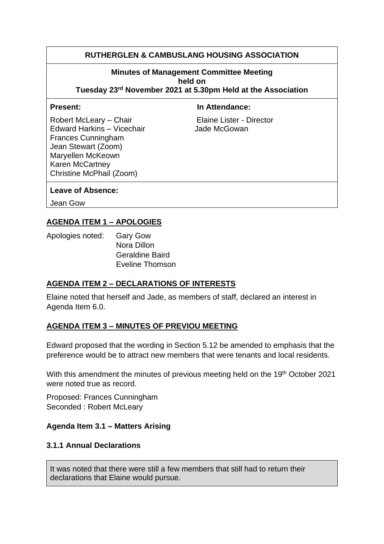# **RUTHERGLEN & CAMBUSLANG HOUSING ASSOCIATION**

#### **Minutes of Management Committee Meeting held on**

**Tuesday 23rd November 2021 at 5.30pm Held at the Association**

## **Present:** In Attendance:

Robert McLeary – Chair Elaine Lister - Director Edward Harkins – Vicechair Jade McGowan Frances Cunningham Jean Stewart (Zoom) Maryellen McKeown Karen McCartney Christine McPhail (Zoom)

# **Leave of Absence:**

Jean Gow

# **AGENDA ITEM 1 – APOLOGIES**

Apologies noted: Gary Gow Nora Dillon Geraldine Baird Eveline Thomson

# **AGENDA ITEM 2 – DECLARATIONS OF INTERESTS**

Elaine noted that herself and Jade, as members of staff, declared an interest in Agenda Item 6.0.

# **AGENDA ITEM 3 – MINUTES OF PREVIOU MEETING**

Edward proposed that the wording in Section 5.12 be amended to emphasis that the preference would be to attract new members that were tenants and local residents.

With this amendment the minutes of previous meeting held on the 19<sup>th</sup> October 2021 were noted true as record.

Proposed: Frances Cunningham Seconded : Robert McLeary

# **Agenda Item 3.1 – Matters Arising**

# **3.1.1 Annual Declarations**

It was noted that there were still a few members that still had to return their declarations that Elaine would pursue.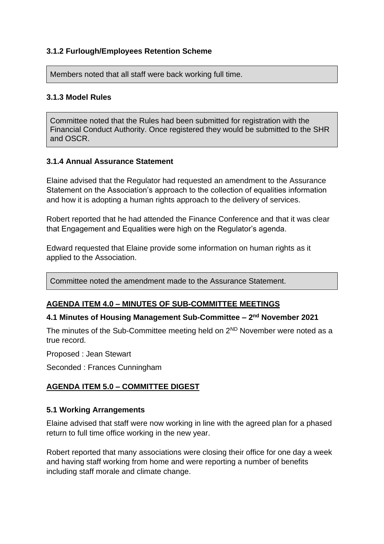# **3.1.2 Furlough/Employees Retention Scheme**

Members noted that all staff were back working full time.

## **3.1.3 Model Rules**

Committee noted that the Rules had been submitted for registration with the Financial Conduct Authority. Once registered they would be submitted to the SHR and OSCR.

# **3.1.4 Annual Assurance Statement**

Elaine advised that the Regulator had requested an amendment to the Assurance Statement on the Association's approach to the collection of equalities information and how it is adopting a human rights approach to the delivery of services.

Robert reported that he had attended the Finance Conference and that it was clear that Engagement and Equalities were high on the Regulator's agenda.

Edward requested that Elaine provide some information on human rights as it applied to the Association.

Committee noted the amendment made to the Assurance Statement.

# **AGENDA ITEM 4.0 – MINUTES OF SUB-COMMITTEE MEETINGS**

# **4.1 Minutes of Housing Management Sub-Committee – 2 nd November 2021**

The minutes of the Sub-Committee meeting held on  $2^{ND}$  November were noted as a true record.

Proposed : Jean Stewart

Seconded : Frances Cunningham

# **AGENDA ITEM 5.0 – COMMITTEE DIGEST**

#### **5.1 Working Arrangements**

Elaine advised that staff were now working in line with the agreed plan for a phased return to full time office working in the new year.

Robert reported that many associations were closing their office for one day a week and having staff working from home and were reporting a number of benefits including staff morale and climate change.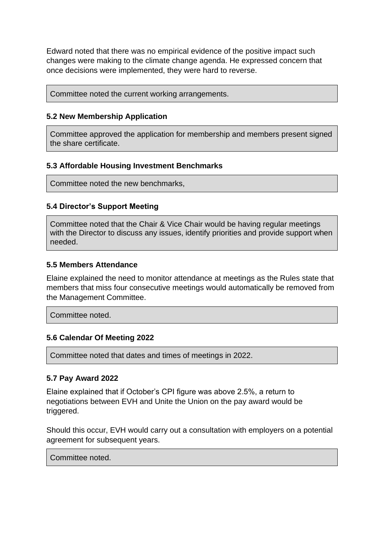Edward noted that there was no empirical evidence of the positive impact such changes were making to the climate change agenda. He expressed concern that once decisions were implemented, they were hard to reverse.

Committee noted the current working arrangements.

## **5.2 New Membership Application**

Committee approved the application for membership and members present signed the share certificate.

# **5.3 Affordable Housing Investment Benchmarks**

Committee noted the new benchmarks,

## **5.4 Director's Support Meeting**

Committee noted that the Chair & Vice Chair would be having regular meetings with the Director to discuss any issues, identify priorities and provide support when needed.

#### **5.5 Members Attendance**

Elaine explained the need to monitor attendance at meetings as the Rules state that members that miss four consecutive meetings would automatically be removed from the Management Committee.

Committee noted.

### **5.6 Calendar Of Meeting 2022**

Committee noted that dates and times of meetings in 2022.

#### **5.7 Pay Award 2022**

Elaine explained that if October's CPI figure was above 2.5%, a return to negotiations between EVH and Unite the Union on the pay award would be triggered.

Should this occur, EVH would carry out a consultation with employers on a potential agreement for subsequent years.

## Committee noted.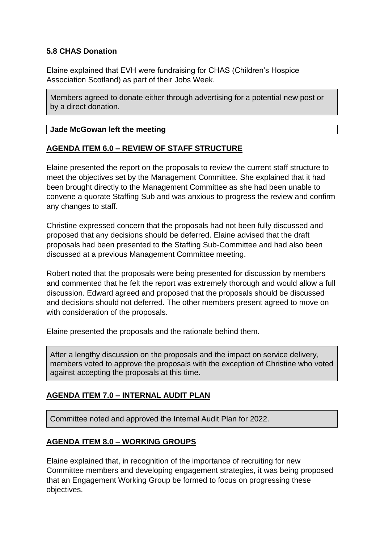# **5.8 CHAS Donation**

Elaine explained that EVH were fundraising for CHAS (Children's Hospice Association Scotland) as part of their Jobs Week.

Members agreed to donate either through advertising for a potential new post or by a direct donation.

# **Jade McGowan left the meeting**

# **AGENDA ITEM 6.0 – REVIEW OF STAFF STRUCTURE**

Elaine presented the report on the proposals to review the current staff structure to meet the objectives set by the Management Committee. She explained that it had been brought directly to the Management Committee as she had been unable to convene a quorate Staffing Sub and was anxious to progress the review and confirm any changes to staff.

Christine expressed concern that the proposals had not been fully discussed and proposed that any decisions should be deferred. Elaine advised that the draft proposals had been presented to the Staffing Sub-Committee and had also been discussed at a previous Management Committee meeting.

Robert noted that the proposals were being presented for discussion by members and commented that he felt the report was extremely thorough and would allow a full discussion. Edward agreed and proposed that the proposals should be discussed and decisions should not deferred. The other members present agreed to move on with consideration of the proposals.

Elaine presented the proposals and the rationale behind them.

After a lengthy discussion on the proposals and the impact on service delivery, members voted to approve the proposals with the exception of Christine who voted against accepting the proposals at this time.

# **AGENDA ITEM 7.0 – INTERNAL AUDIT PLAN**

Committee noted and approved the Internal Audit Plan for 2022.

# **AGENDA ITEM 8.0 – WORKING GROUPS**

Elaine explained that, in recognition of the importance of recruiting for new Committee members and developing engagement strategies, it was being proposed that an Engagement Working Group be formed to focus on progressing these objectives.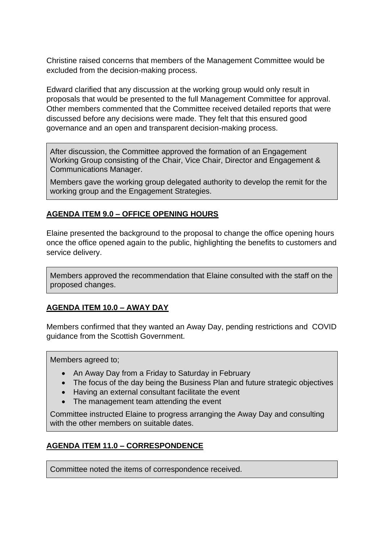Christine raised concerns that members of the Management Committee would be excluded from the decision-making process.

Edward clarified that any discussion at the working group would only result in proposals that would be presented to the full Management Committee for approval. Other members commented that the Committee received detailed reports that were discussed before any decisions were made. They felt that this ensured good governance and an open and transparent decision-making process.

After discussion, the Committee approved the formation of an Engagement Working Group consisting of the Chair, Vice Chair, Director and Engagement & Communications Manager.

Members gave the working group delegated authority to develop the remit for the working group and the Engagement Strategies.

# **AGENDA ITEM 9.0 – OFFICE OPENING HOURS**

Elaine presented the background to the proposal to change the office opening hours once the office opened again to the public, highlighting the benefits to customers and service delivery.

Members approved the recommendation that Elaine consulted with the staff on the proposed changes.

# **AGENDA ITEM 10.0 – AWAY DAY**

Members confirmed that they wanted an Away Day, pending restrictions and COVID guidance from the Scottish Government.

Members agreed to;

- An Away Day from a Friday to Saturday in February
- The focus of the day being the Business Plan and future strategic objectives
- Having an external consultant facilitate the event
- The management team attending the event

Committee instructed Elaine to progress arranging the Away Day and consulting with the other members on suitable dates.

# **AGENDA ITEM 11.0 – CORRESPONDENCE**

Committee noted the items of correspondence received.